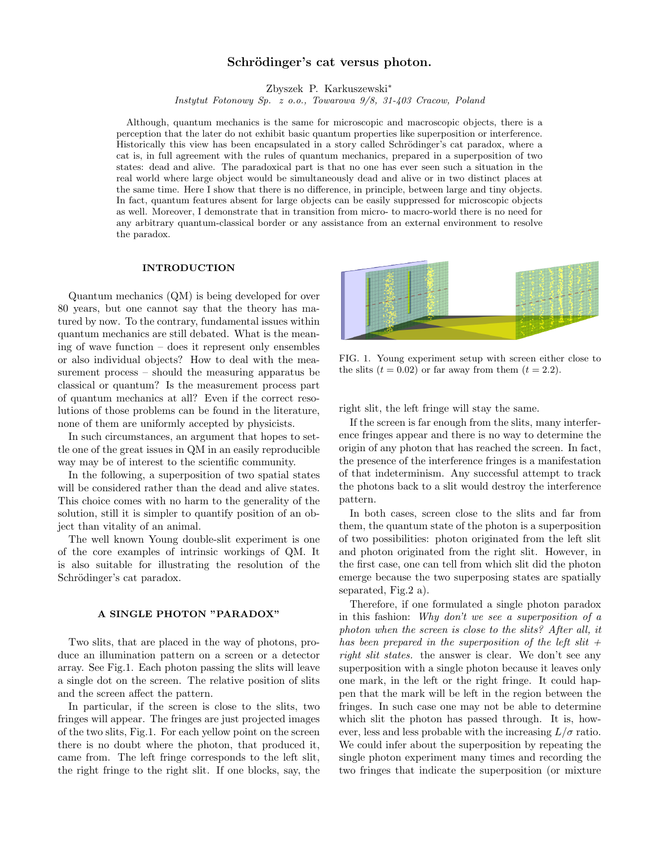# Schrödinger's cat versus photon.

Zbyszek P. Karkuszewski<sup>∗</sup>

Instytut Fotonowy Sp. z o.o., Towarowa 9/8, 31-403 Cracow, Poland

Although, quantum mechanics is the same for microscopic and macroscopic objects, there is a perception that the later do not exhibit basic quantum properties like superposition or interference. Historically this view has been encapsulated in a story called Schrödinger's cat paradox, where a cat is, in full agreement with the rules of quantum mechanics, prepared in a superposition of two states: dead and alive. The paradoxical part is that no one has ever seen such a situation in the real world where large object would be simultaneously dead and alive or in two distinct places at the same time. Here I show that there is no difference, in principle, between large and tiny objects. In fact, quantum features absent for large objects can be easily suppressed for microscopic objects as well. Moreover, I demonstrate that in transition from micro- to macro-world there is no need for any arbitrary quantum-classical border or any assistance from an external environment to resolve the paradox.

### INTRODUCTION

Quantum mechanics (QM) is being developed for over 80 years, but one cannot say that the theory has matured by now. To the contrary, fundamental issues within quantum mechanics are still debated. What is the meaning of wave function – does it represent only ensembles or also individual objects? How to deal with the measurement process – should the measuring apparatus be classical or quantum? Is the measurement process part of quantum mechanics at all? Even if the correct resolutions of those problems can be found in the literature, none of them are uniformly accepted by physicists.

In such circumstances, an argument that hopes to settle one of the great issues in QM in an easily reproducible way may be of interest to the scientific community.

In the following, a superposition of two spatial states will be considered rather than the dead and alive states. This choice comes with no harm to the generality of the solution, still it is simpler to quantify position of an object than vitality of an animal.

The well known Young double-slit experiment is one of the core examples of intrinsic workings of QM. It is also suitable for illustrating the resolution of the Schrödinger's cat paradox.

# A SINGLE PHOTON "PARADOX"

Two slits, that are placed in the way of photons, produce an illumination pattern on a screen or a detector array. See Fig.1. Each photon passing the slits will leave a single dot on the screen. The relative position of slits and the screen affect the pattern.

In particular, if the screen is close to the slits, two fringes will appear. The fringes are just projected images of the two slits, Fig.1. For each yellow point on the screen there is no doubt where the photon, that produced it, came from. The left fringe corresponds to the left slit, the right fringe to the right slit. If one blocks, say, the



FIG. 1. Young experiment setup with screen either close to the slits  $(t = 0.02)$  or far away from them  $(t = 2.2)$ .

right slit, the left fringe will stay the same.

If the screen is far enough from the slits, many interference fringes appear and there is no way to determine the origin of any photon that has reached the screen. In fact, the presence of the interference fringes is a manifestation of that indeterminism. Any successful attempt to track the photons back to a slit would destroy the interference pattern.

In both cases, screen close to the slits and far from them, the quantum state of the photon is a superposition of two possibilities: photon originated from the left slit and photon originated from the right slit. However, in the first case, one can tell from which slit did the photon emerge because the two superposing states are spatially separated, Fig.2 a).

Therefore, if one formulated a single photon paradox in this fashion: Why don't we see a superposition of a photon when the screen is close to the slits? After all, it has been prepared in the superposition of the left slit  $+$ right slit states. the answer is clear. We don't see any superposition with a single photon because it leaves only one mark, in the left or the right fringe. It could happen that the mark will be left in the region between the fringes. In such case one may not be able to determine which slit the photon has passed through. It is, however, less and less probable with the increasing  $L/\sigma$  ratio. We could infer about the superposition by repeating the single photon experiment many times and recording the two fringes that indicate the superposition (or mixture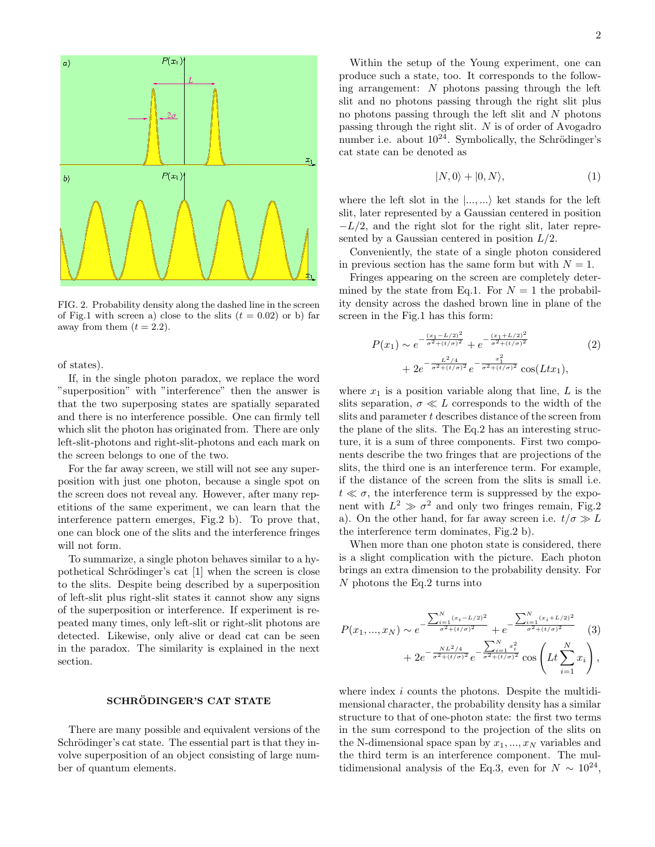

FIG. 2. Probability density along the dashed line in the screen of Fig.1 with screen a) close to the slits  $(t = 0.02)$  or b) far away from them  $(t = 2.2)$ .

of states).

If, in the single photon paradox, we replace the word "superposition" with "interference" then the answer is that the two superposing states are spatially separated and there is no interference possible. One can firmly tell which slit the photon has originated from. There are only left-slit-photons and right-slit-photons and each mark on the screen belongs to one of the two.

For the far away screen, we still will not see any superposition with just one photon, because a single spot on the screen does not reveal any. However, after many repetitions of the same experiment, we can learn that the interference pattern emerges, Fig.2 b). To prove that, one can block one of the slits and the interference fringes will not form.

To summarize, a single photon behaves similar to a hypothetical Schrödinger's cat [1] when the screen is close to the slits. Despite being described by a superposition of left-slit plus right-slit states it cannot show any signs of the superposition or interference. If experiment is repeated many times, only left-slit or right-slit photons are detected. Likewise, only alive or dead cat can be seen in the paradox. The similarity is explained in the next section.

# SCHRÖDINGER'S CAT STATE

There are many possible and equivalent versions of the Schrödinger's cat state. The essential part is that they involve superposition of an object consisting of large number of quantum elements.

Within the setup of the Young experiment, one can produce such a state, too. It corresponds to the following arrangement: N photons passing through the left slit and no photons passing through the right slit plus no photons passing through the left slit and  $N$  photons passing through the right slit. N is of order of Avogadro number i.e. about  $10^{24}$ . Symbolically, the Schrödinger's cat state can be denoted as

$$
|N,0\rangle + |0,N\rangle, \tag{1}
$$

where the left slot in the  $|..., \rangle$  ket stands for the left slit, later represented by a Gaussian centered in position  $-L/2$ , and the right slot for the right slit, later represented by a Gaussian centered in position  $L/2$ .

Conveniently, the state of a single photon considered in previous section has the same form but with  $N = 1$ .

Fringes appearing on the screen are completely determined by the state from Eq.1. For  $N = 1$  the probability density across the dashed brown line in plane of the screen in the Fig.1 has this form:

$$
P(x_1) \sim e^{-\frac{(x_1 - L/2)^2}{\sigma^2 + (t/\sigma)^2}} + e^{-\frac{(x_1 + L/2)^2}{\sigma^2 + (t/\sigma)^2}} \tag{2}
$$

$$
+ 2e^{-\frac{L^2/4}{\sigma^2 + (t/\sigma)^2}} e^{-\frac{x_1^2}{\sigma^2 + (t/\sigma)^2}} \cos(Ltx_1),
$$

where  $x_1$  is a position variable along that line,  $L$  is the slits separation,  $\sigma \ll L$  corresponds to the width of the slits and parameter t describes distance of the screen from the plane of the slits. The Eq.2 has an interesting structure, it is a sum of three components. First two components describe the two fringes that are projections of the slits, the third one is an interference term. For example, if the distance of the screen from the slits is small i.e.  $t \ll \sigma$ , the interference term is suppressed by the exponent with  $L^2 \gg \sigma^2$  and only two fringes remain, Fig.2 a). On the other hand, for far away screen i.e.  $t/\sigma \gg L$ the interference term dominates, Fig.2 b).

When more than one photon state is considered, there is a slight complication with the picture. Each photon brings an extra dimension to the probability density. For  $N$  photons the Eq.2 turns into

$$
P(x_1, ..., x_N) \sim e^{-\frac{\sum_{i=1}^{N} (x_i - L/2)^2}{\sigma^2 + (t/\sigma)^2}} + e^{-\frac{\sum_{i=1}^{N} (x_i + L/2)^2}{\sigma^2 + (t/\sigma)^2}} \quad (3)
$$

$$
+ 2e^{-\frac{NL^2/4}{\sigma^2 + (t/\sigma)^2}} e^{-\frac{\sum_{i=1}^{N} x_i^2}{\sigma^2 + (t/\sigma)^2}} \cos\left(Lt \sum_{i=1}^{N} x_i\right),
$$

where index *i* counts the photons. Despite the multidimensional character, the probability density has a similar structure to that of one-photon state: the first two terms in the sum correspond to the projection of the slits on the N-dimensional space span by  $x_1, ..., x_N$  variables and the third term is an interference component. The multidimensional analysis of the Eq.3, even for  $N \sim 10^{24}$ ,